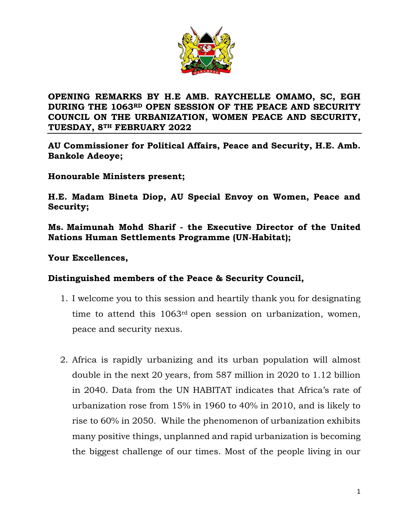

# **OPENING REMARKS BY H.E AMB. RAYCHELLE OMAMO, SC, EGH DURING THE 1063RD OPEN SESSION OF THE PEACE AND SECURITY COUNCIL ON THE URBANIZATION, WOMEN PEACE AND SECURITY, TUESDAY, 8TH FEBRUARY 2022**

**AU Commissioner for Political Affairs, Peace and Security, H.E. Amb. Bankole Adeoye;**

**Honourable Ministers present;**

**H.E. Madam Bineta Diop, AU Special Envoy on Women, Peace and Security;**

**Ms. Maimunah Mohd Sharif - the Executive Director of the United Nations Human Settlements Programme (UN‐Habitat);**

#### **Your Excellences,**

#### **Distinguished members of the Peace & Security Council,**

- 1. I welcome you to this session and heartily thank you for designating time to attend this 1063rd open session on urbanization, women, peace and security nexus.
- 2. Africa is rapidly urbanizing and its urban population will almost double in the next 20 years, from 587 million in 2020 to 1.12 billion in 2040. Data from the UN HABITAT indicates that Africa's rate of urbanization rose from 15% in 1960 to 40% in 2010, and is likely to rise to 60% in 2050. While the phenomenon of urbanization exhibits many positive things, unplanned and rapid urbanization is becoming the biggest challenge of our times. Most of the people living in our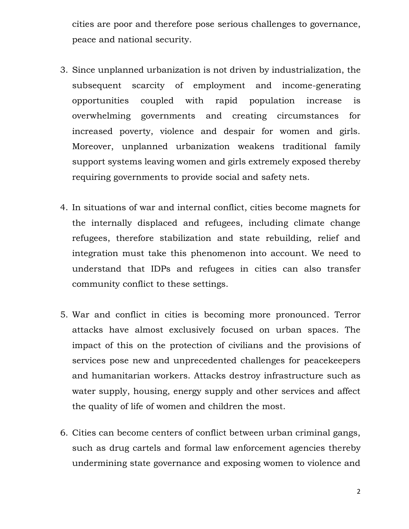cities are poor and therefore pose serious challenges to governance, peace and national security.

- 3. Since unplanned urbanization is not driven by industrialization, the subsequent scarcity of employment and income-generating opportunities coupled with rapid population increase is overwhelming governments and creating circumstances for increased poverty, violence and despair for women and girls. Moreover, unplanned urbanization weakens traditional family support systems leaving women and girls extremely exposed thereby requiring governments to provide social and safety nets.
- 4. In situations of war and internal conflict, cities become magnets for the internally displaced and refugees, including climate change refugees, therefore stabilization and state rebuilding, relief and integration must take this phenomenon into account. We need to understand that IDPs and refugees in cities can also transfer community conflict to these settings.
- 5. War and conflict in cities is becoming more pronounced. Terror attacks have almost exclusively focused on urban spaces. The impact of this on the protection of civilians and the provisions of services pose new and unprecedented challenges for peacekeepers and humanitarian workers. Attacks destroy infrastructure such as water supply, housing, energy supply and other services and affect the quality of life of women and children the most.
- 6. Cities can become centers of conflict between urban criminal gangs, such as drug cartels and formal law enforcement agencies thereby undermining state governance and exposing women to violence and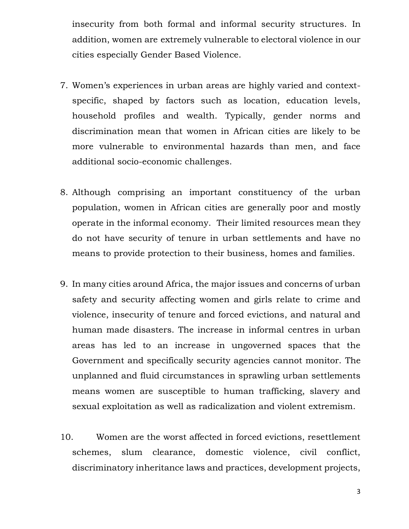insecurity from both formal and informal security structures. In addition, women are extremely vulnerable to electoral violence in our cities especially Gender Based Violence.

- 7. Women's experiences in urban areas are highly varied and contextspecific, shaped by factors such as location, education levels, household profiles and wealth. Typically, gender norms and discrimination mean that women in African cities are likely to be more vulnerable to environmental hazards than men, and face additional socio-economic challenges.
- 8. Although comprising an important constituency of the urban population, women in African cities are generally poor and mostly operate in the informal economy. Their limited resources mean they do not have security of tenure in urban settlements and have no means to provide protection to their business, homes and families.
- 9. In many cities around Africa, the major issues and concerns of urban safety and security affecting women and girls relate to crime and violence, insecurity of tenure and forced evictions, and natural and human made disasters. The increase in informal centres in urban areas has led to an increase in ungoverned spaces that the Government and specifically security agencies cannot monitor. The unplanned and fluid circumstances in sprawling urban settlements means women are susceptible to human trafficking, slavery and sexual exploitation as well as radicalization and violent extremism.
- 10. Women are the worst affected in forced evictions, resettlement schemes, slum clearance, domestic violence, civil conflict, discriminatory inheritance laws and practices, development projects,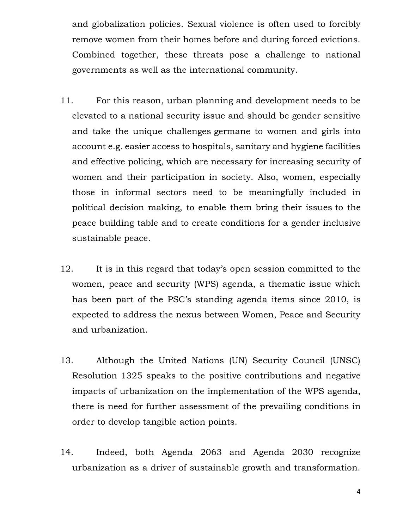and globalization policies. Sexual violence is often used to forcibly remove women from their homes before and during forced evictions. Combined together, these threats pose a challenge to national governments as well as the international community.

- 11. For this reason, urban planning and development needs to be elevated to a national security issue and should be gender sensitive and take the unique challenges germane to women and girls into account e.g. easier access to hospitals, sanitary and hygiene facilities and effective policing, which are necessary for increasing security of women and their participation in society. Also, women, especially those in informal sectors need to be meaningfully included in political decision making, to enable them bring their issues to the peace building table and to create conditions for a gender inclusive sustainable peace.
- 12. It is in this regard that today's open session committed to the women, peace and security (WPS) agenda, a thematic issue which has been part of the PSC's standing agenda items since 2010, is expected to address the nexus between Women, Peace and Security and urbanization.
- 13. Although the United Nations (UN) Security Council (UNSC) Resolution 1325 speaks to the positive contributions and negative impacts of urbanization on the implementation of the WPS agenda, there is need for further assessment of the prevailing conditions in order to develop tangible action points.
- 14. Indeed, both Agenda 2063 and Agenda 2030 recognize urbanization as a driver of sustainable growth and transformation.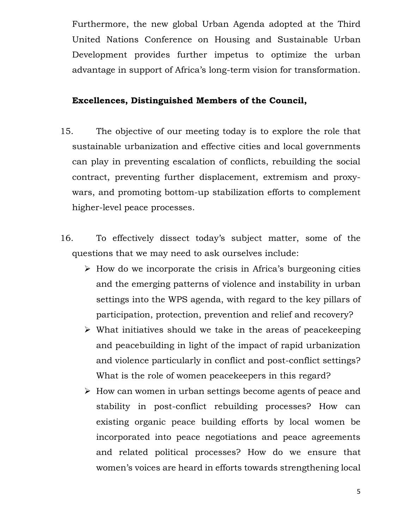Furthermore, the new global Urban Agenda adopted at the Third United Nations Conference on Housing and Sustainable Urban Development provides further impetus to optimize the urban advantage in support of Africa's long-term vision for transformation.

## **Excellences, Distinguished Members of the Council,**

- 15. The objective of our meeting today is to explore the role that sustainable urbanization and effective cities and local governments can play in preventing escalation of conflicts, rebuilding the social contract, preventing further displacement, extremism and proxywars, and promoting bottom-up stabilization efforts to complement higher-level peace processes.
- 16. To effectively dissect today's subject matter, some of the questions that we may need to ask ourselves include:
	- $\triangleright$  How do we incorporate the crisis in Africa's burgeoning cities and the emerging patterns of violence and instability in urban settings into the WPS agenda, with regard to the key pillars of participation, protection, prevention and relief and recovery?
	- $\triangleright$  What initiatives should we take in the areas of peacekeeping and peacebuilding in light of the impact of rapid urbanization and violence particularly in conflict and post-conflict settings? What is the role of women peacekeepers in this regard?
	- $\triangleright$  How can women in urban settings become agents of peace and stability in post-conflict rebuilding processes? How can existing organic peace building efforts by local women be incorporated into peace negotiations and peace agreements and related political processes? How do we ensure that women's voices are heard in efforts towards strengthening local